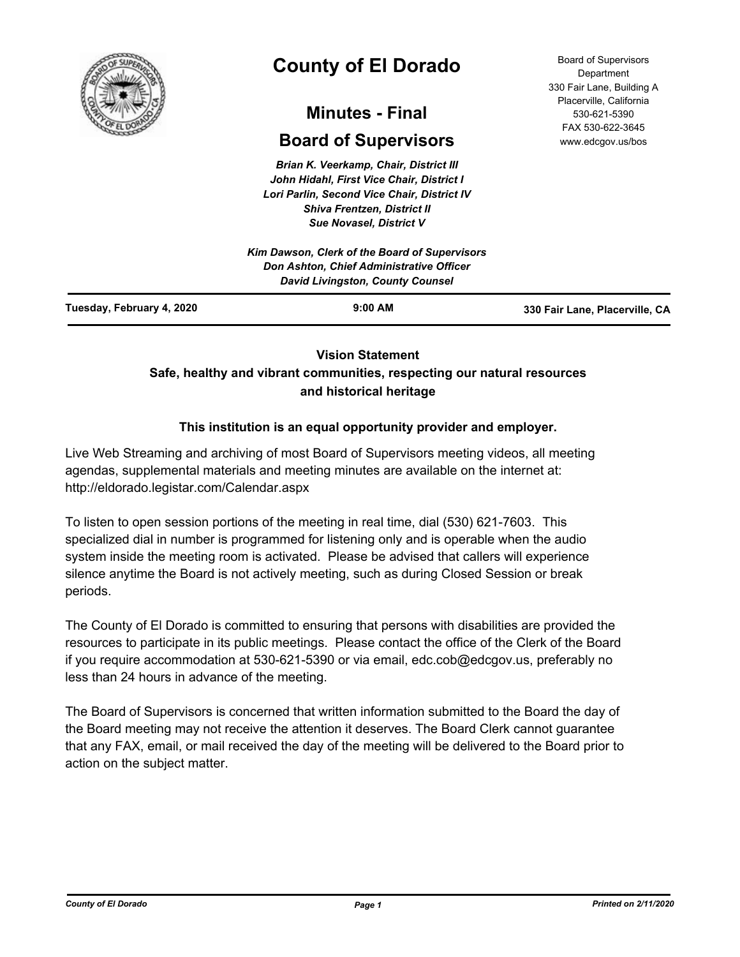

# **County of El Dorado**

## **Minutes - Final**

## **Board of Supervisors**

*Brian K. Veerkamp, Chair, District III John Hidahl, First Vice Chair, District I Lori Parlin, Second Vice Chair, District IV Shiva Frentzen, District II Sue Novasel, District V*

| Kim Dawson, Clerk of the Board of Supervisors<br><b>Don Ashton, Chief Administrative Officer</b><br><b>David Livingston, County Counsel</b> |           |                                |
|---------------------------------------------------------------------------------------------------------------------------------------------|-----------|--------------------------------|
| Tuesday, February 4, 2020                                                                                                                   | $9:00$ AM | 330 Fair Lane, Placerville, CA |

## **Vision Statement**

## **Safe, healthy and vibrant communities, respecting our natural resources and historical heritage**

## **This institution is an equal opportunity provider and employer.**

Live Web Streaming and archiving of most Board of Supervisors meeting videos, all meeting agendas, supplemental materials and meeting minutes are available on the internet at: http://eldorado.legistar.com/Calendar.aspx

To listen to open session portions of the meeting in real time, dial (530) 621-7603. This specialized dial in number is programmed for listening only and is operable when the audio system inside the meeting room is activated. Please be advised that callers will experience silence anytime the Board is not actively meeting, such as during Closed Session or break periods.

The County of El Dorado is committed to ensuring that persons with disabilities are provided the resources to participate in its public meetings. Please contact the office of the Clerk of the Board if you require accommodation at 530-621-5390 or via email, edc.cob@edcgov.us, preferably no less than 24 hours in advance of the meeting.

The Board of Supervisors is concerned that written information submitted to the Board the day of the Board meeting may not receive the attention it deserves. The Board Clerk cannot guarantee that any FAX, email, or mail received the day of the meeting will be delivered to the Board prior to action on the subject matter.

Board of Supervisors Department 330 Fair Lane, Building A Placerville, California 530-621-5390 FAX 530-622-3645 www.edcgov.us/bos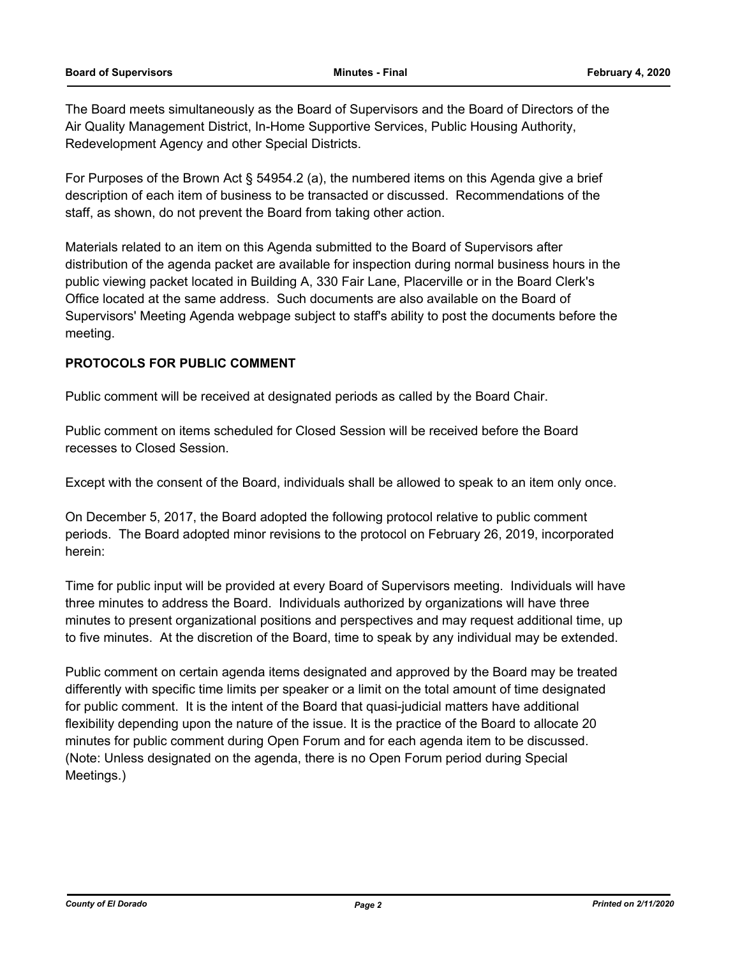The Board meets simultaneously as the Board of Supervisors and the Board of Directors of the Air Quality Management District, In-Home Supportive Services, Public Housing Authority, Redevelopment Agency and other Special Districts.

For Purposes of the Brown Act § 54954.2 (a), the numbered items on this Agenda give a brief description of each item of business to be transacted or discussed. Recommendations of the staff, as shown, do not prevent the Board from taking other action.

Materials related to an item on this Agenda submitted to the Board of Supervisors after distribution of the agenda packet are available for inspection during normal business hours in the public viewing packet located in Building A, 330 Fair Lane, Placerville or in the Board Clerk's Office located at the same address. Such documents are also available on the Board of Supervisors' Meeting Agenda webpage subject to staff's ability to post the documents before the meeting.

## **PROTOCOLS FOR PUBLIC COMMENT**

Public comment will be received at designated periods as called by the Board Chair.

Public comment on items scheduled for Closed Session will be received before the Board recesses to Closed Session.

Except with the consent of the Board, individuals shall be allowed to speak to an item only once.

On December 5, 2017, the Board adopted the following protocol relative to public comment periods. The Board adopted minor revisions to the protocol on February 26, 2019, incorporated herein:

Time for public input will be provided at every Board of Supervisors meeting. Individuals will have three minutes to address the Board. Individuals authorized by organizations will have three minutes to present organizational positions and perspectives and may request additional time, up to five minutes. At the discretion of the Board, time to speak by any individual may be extended.

Public comment on certain agenda items designated and approved by the Board may be treated differently with specific time limits per speaker or a limit on the total amount of time designated for public comment. It is the intent of the Board that quasi-judicial matters have additional flexibility depending upon the nature of the issue. It is the practice of the Board to allocate 20 minutes for public comment during Open Forum and for each agenda item to be discussed. (Note: Unless designated on the agenda, there is no Open Forum period during Special Meetings.)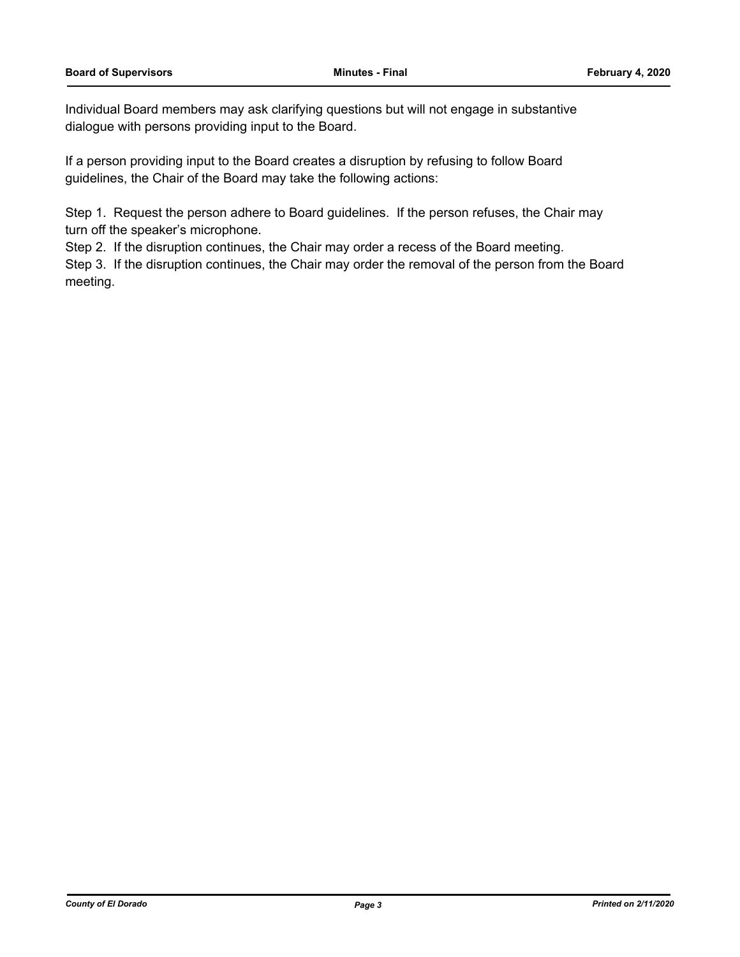Individual Board members may ask clarifying questions but will not engage in substantive dialogue with persons providing input to the Board.

If a person providing input to the Board creates a disruption by refusing to follow Board guidelines, the Chair of the Board may take the following actions:

Step 1. Request the person adhere to Board guidelines. If the person refuses, the Chair may turn off the speaker's microphone.

Step 2. If the disruption continues, the Chair may order a recess of the Board meeting.

Step 3. If the disruption continues, the Chair may order the removal of the person from the Board meeting.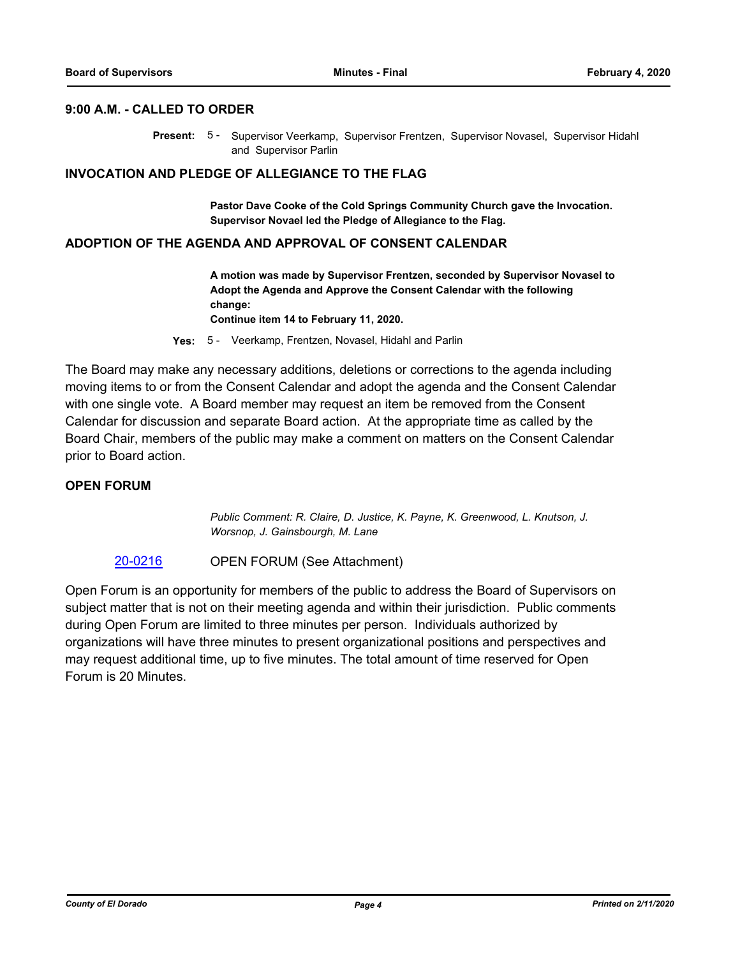#### **9:00 A.M. - CALLED TO ORDER**

Present: 5 - Supervisor Veerkamp, Supervisor Frentzen, Supervisor Novasel, Supervisor Hidahl and Supervisor Parlin

## **INVOCATION AND PLEDGE OF ALLEGIANCE TO THE FLAG**

**Pastor Dave Cooke of the Cold Springs Community Church gave the Invocation. Supervisor Novael led the Pledge of Allegiance to the Flag.**

#### **ADOPTION OF THE AGENDA AND APPROVAL OF CONSENT CALENDAR**

**A motion was made by Supervisor Frentzen, seconded by Supervisor Novasel to Adopt the Agenda and Approve the Consent Calendar with the following change:**

**Continue item 14 to February 11, 2020.**

**Yes:** 5 - Veerkamp, Frentzen, Novasel, Hidahl and Parlin

The Board may make any necessary additions, deletions or corrections to the agenda including moving items to or from the Consent Calendar and adopt the agenda and the Consent Calendar with one single vote. A Board member may request an item be removed from the Consent Calendar for discussion and separate Board action. At the appropriate time as called by the Board Chair, members of the public may make a comment on matters on the Consent Calendar prior to Board action.

## **OPEN FORUM**

*Public Comment: R. Claire, D. Justice, K. Payne, K. Greenwood, L. Knutson, J. Worsnop, J. Gainsbourgh, M. Lane*

#### [20-0216](http://eldorado.legistar.com/gateway.aspx?m=l&id=/matter.aspx?key=27421) OPEN FORUM (See Attachment)

Open Forum is an opportunity for members of the public to address the Board of Supervisors on subject matter that is not on their meeting agenda and within their jurisdiction. Public comments during Open Forum are limited to three minutes per person. Individuals authorized by organizations will have three minutes to present organizational positions and perspectives and may request additional time, up to five minutes. The total amount of time reserved for Open Forum is 20 Minutes.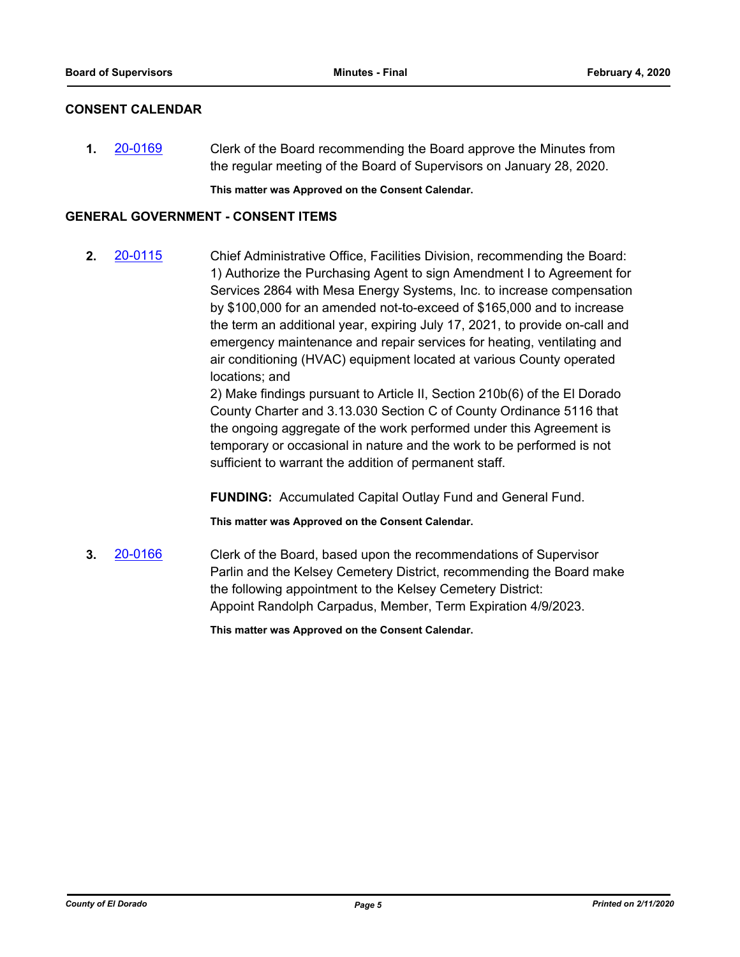## **CONSENT CALENDAR**

**1.** [20-0169](http://eldorado.legistar.com/gateway.aspx?m=l&id=/matter.aspx?key=27374) Clerk of the Board recommending the Board approve the Minutes from the regular meeting of the Board of Supervisors on January 28, 2020.

**This matter was Approved on the Consent Calendar.**

## **GENERAL GOVERNMENT - CONSENT ITEMS**

**2.** [20-0115](http://eldorado.legistar.com/gateway.aspx?m=l&id=/matter.aspx?key=27320) Chief Administrative Office, Facilities Division, recommending the Board: 1) Authorize the Purchasing Agent to sign Amendment I to Agreement for Services 2864 with Mesa Energy Systems, Inc. to increase compensation by \$100,000 for an amended not-to-exceed of \$165,000 and to increase the term an additional year, expiring July 17, 2021, to provide on-call and emergency maintenance and repair services for heating, ventilating and air conditioning (HVAC) equipment located at various County operated locations; and

> 2) Make findings pursuant to Article II, Section 210b(6) of the El Dorado County Charter and 3.13.030 Section C of County Ordinance 5116 that the ongoing aggregate of the work performed under this Agreement is temporary or occasional in nature and the work to be performed is not sufficient to warrant the addition of permanent staff.

**FUNDING:** Accumulated Capital Outlay Fund and General Fund.

**This matter was Approved on the Consent Calendar.**

**3.** [20-0166](http://eldorado.legistar.com/gateway.aspx?m=l&id=/matter.aspx?key=27371) Clerk of the Board, based upon the recommendations of Supervisor Parlin and the Kelsey Cemetery District, recommending the Board make the following appointment to the Kelsey Cemetery District: Appoint Randolph Carpadus, Member, Term Expiration 4/9/2023.

**This matter was Approved on the Consent Calendar.**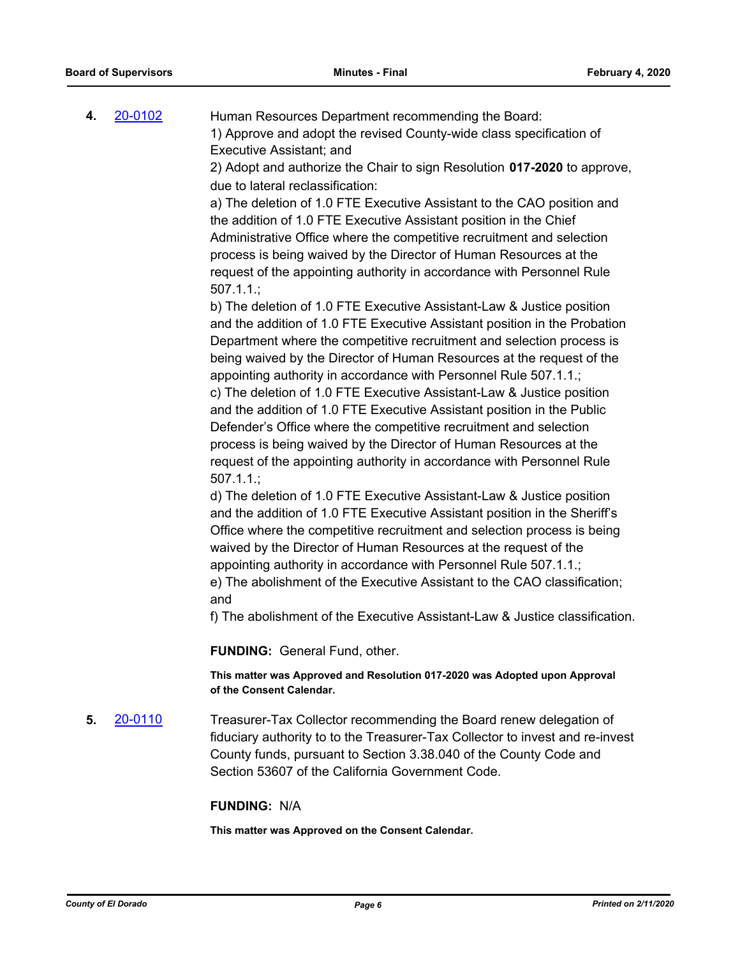**4.** [20-0102](http://eldorado.legistar.com/gateway.aspx?m=l&id=/matter.aspx?key=27307) Human Resources Department recommending the Board: 1) Approve and adopt the revised County-wide class specification of Executive Assistant; and

2) Adopt and authorize the Chair to sign Resolution **017-2020** to approve, due to lateral reclassification:

a) The deletion of 1.0 FTE Executive Assistant to the CAO position and the addition of 1.0 FTE Executive Assistant position in the Chief Administrative Office where the competitive recruitment and selection process is being waived by the Director of Human Resources at the request of the appointing authority in accordance with Personnel Rule 507.1.1.;

b) The deletion of 1.0 FTE Executive Assistant-Law & Justice position and the addition of 1.0 FTE Executive Assistant position in the Probation Department where the competitive recruitment and selection process is being waived by the Director of Human Resources at the request of the appointing authority in accordance with Personnel Rule 507.1.1.; c) The deletion of 1.0 FTE Executive Assistant-Law & Justice position and the addition of 1.0 FTE Executive Assistant position in the Public Defender's Office where the competitive recruitment and selection process is being waived by the Director of Human Resources at the request of the appointing authority in accordance with Personnel Rule 507.1.1.;

d) The deletion of 1.0 FTE Executive Assistant-Law & Justice position and the addition of 1.0 FTE Executive Assistant position in the Sheriff's Office where the competitive recruitment and selection process is being waived by the Director of Human Resources at the request of the appointing authority in accordance with Personnel Rule 507.1.1.; e) The abolishment of the Executive Assistant to the CAO classification;

and

f) The abolishment of the Executive Assistant-Law & Justice classification.

**FUNDING:** General Fund, other.

**This matter was Approved and Resolution 017-2020 was Adopted upon Approval of the Consent Calendar.**

**5.** [20-0110](http://eldorado.legistar.com/gateway.aspx?m=l&id=/matter.aspx?key=27315) Treasurer-Tax Collector recommending the Board renew delegation of fiduciary authority to to the Treasurer-Tax Collector to invest and re-invest County funds, pursuant to Section 3.38.040 of the County Code and Section 53607 of the California Government Code.

#### **FUNDING:** N/A

**This matter was Approved on the Consent Calendar.**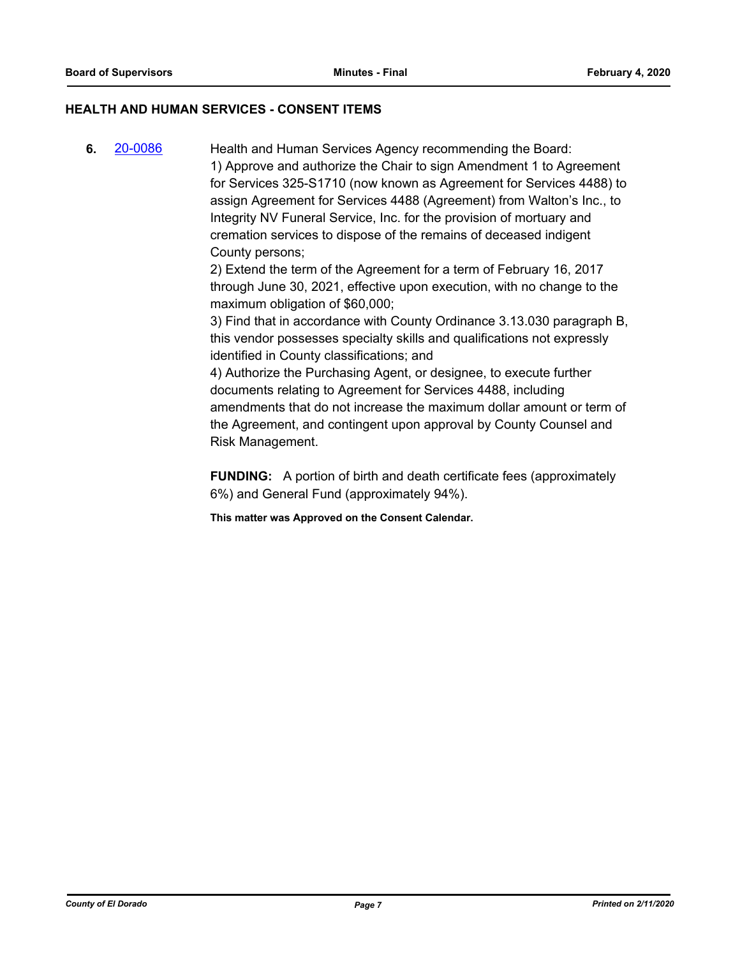## **HEALTH AND HUMAN SERVICES - CONSENT ITEMS**

**6.** [20-0086](http://eldorado.legistar.com/gateway.aspx?m=l&id=/matter.aspx?key=27291) Health and Human Services Agency recommending the Board: 1) Approve and authorize the Chair to sign Amendment 1 to Agreement for Services 325-S1710 (now known as Agreement for Services 4488) to assign Agreement for Services 4488 (Agreement) from Walton's Inc., to Integrity NV Funeral Service, Inc. for the provision of mortuary and cremation services to dispose of the remains of deceased indigent County persons;

2) Extend the term of the Agreement for a term of February 16, 2017 through June 30, 2021, effective upon execution, with no change to the maximum obligation of \$60,000;

3) Find that in accordance with County Ordinance 3.13.030 paragraph B, this vendor possesses specialty skills and qualifications not expressly identified in County classifications; and

4) Authorize the Purchasing Agent, or designee, to execute further documents relating to Agreement for Services 4488, including amendments that do not increase the maximum dollar amount or term of the Agreement, and contingent upon approval by County Counsel and Risk Management.

**FUNDING:** A portion of birth and death certificate fees (approximately 6%) and General Fund (approximately 94%).

**This matter was Approved on the Consent Calendar.**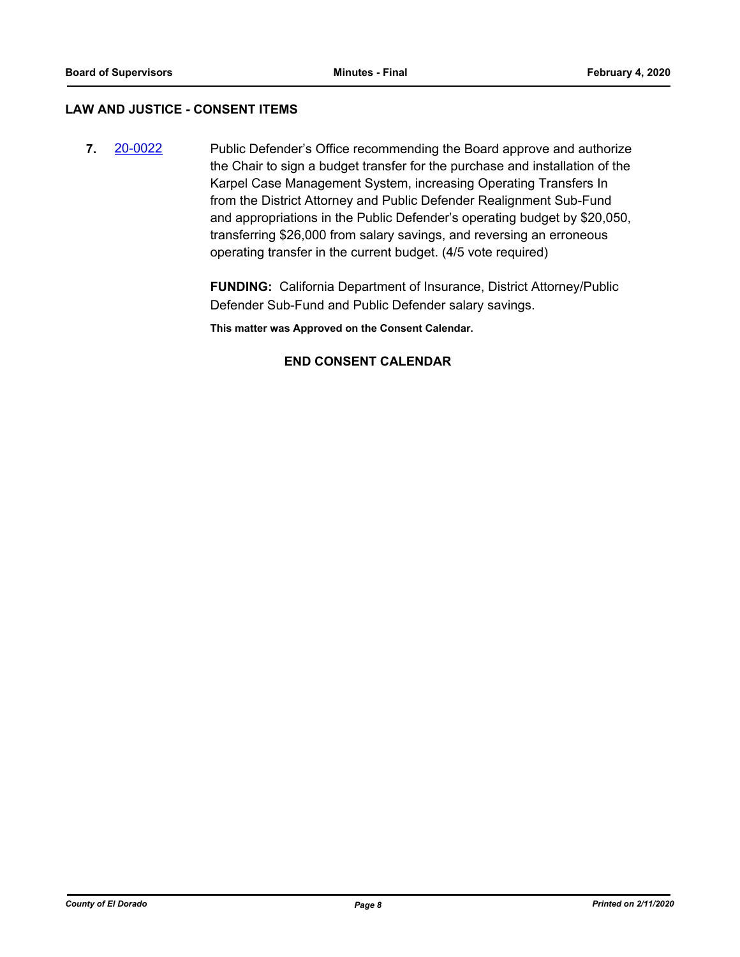## **LAW AND JUSTICE - CONSENT ITEMS**

**7.** [20-0022](http://eldorado.legistar.com/gateway.aspx?m=l&id=/matter.aspx?key=27226) Public Defender's Office recommending the Board approve and authorize the Chair to sign a budget transfer for the purchase and installation of the Karpel Case Management System, increasing Operating Transfers In from the District Attorney and Public Defender Realignment Sub-Fund and appropriations in the Public Defender's operating budget by \$20,050, transferring \$26,000 from salary savings, and reversing an erroneous operating transfer in the current budget. (4/5 vote required)

> **FUNDING:** California Department of Insurance, District Attorney/Public Defender Sub-Fund and Public Defender salary savings.

**This matter was Approved on the Consent Calendar.**

## **END CONSENT CALENDAR**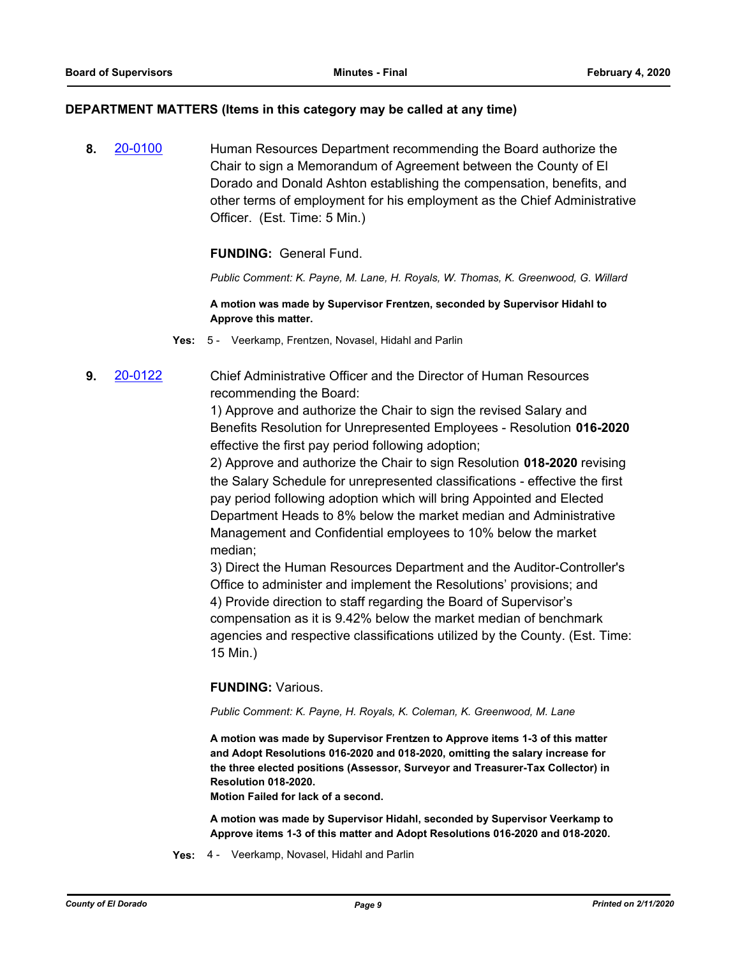#### **DEPARTMENT MATTERS (Items in this category may be called at any time)**

**8.** [20-0100](http://eldorado.legistar.com/gateway.aspx?m=l&id=/matter.aspx?key=27305) Human Resources Department recommending the Board authorize the Chair to sign a Memorandum of Agreement between the County of El Dorado and Donald Ashton establishing the compensation, benefits, and other terms of employment for his employment as the Chief Administrative Officer. (Est. Time: 5 Min.)

## **FUNDING:** General Fund.

*Public Comment: K. Payne, M. Lane, H. Royals, W. Thomas, K. Greenwood, G. Willard*

#### **A motion was made by Supervisor Frentzen, seconded by Supervisor Hidahl to Approve this matter.**

**Yes:** 5 - Veerkamp, Frentzen, Novasel, Hidahl and Parlin

**9.** [20-0122](http://eldorado.legistar.com/gateway.aspx?m=l&id=/matter.aspx?key=27327) Chief Administrative Officer and the Director of Human Resources recommending the Board:

> 1) Approve and authorize the Chair to sign the revised Salary and Benefits Resolution for Unrepresented Employees - Resolution **016-2020**  effective the first pay period following adoption;

> 2) Approve and authorize the Chair to sign Resolution **018-2020** revising the Salary Schedule for unrepresented classifications - effective the first pay period following adoption which will bring Appointed and Elected Department Heads to 8% below the market median and Administrative Management and Confidential employees to 10% below the market median;

3) Direct the Human Resources Department and the Auditor-Controller's Office to administer and implement the Resolutions' provisions; and 4) Provide direction to staff regarding the Board of Supervisor's compensation as it is 9.42% below the market median of benchmark agencies and respective classifications utilized by the County. (Est. Time: 15 Min.)

## **FUNDING:** Various.

*Public Comment: K. Payne, H. Royals, K. Coleman, K. Greenwood, M. Lane*

**A motion was made by Supervisor Frentzen to Approve items 1-3 of this matter and Adopt Resolutions 016-2020 and 018-2020, omitting the salary increase for the three elected positions (Assessor, Surveyor and Treasurer-Tax Collector) in Resolution 018-2020.**

**Motion Failed for lack of a second.**

**A motion was made by Supervisor Hidahl, seconded by Supervisor Veerkamp to Approve items 1-3 of this matter and Adopt Resolutions 016-2020 and 018-2020.**

**Yes:** 4 - Veerkamp, Novasel, Hidahl and Parlin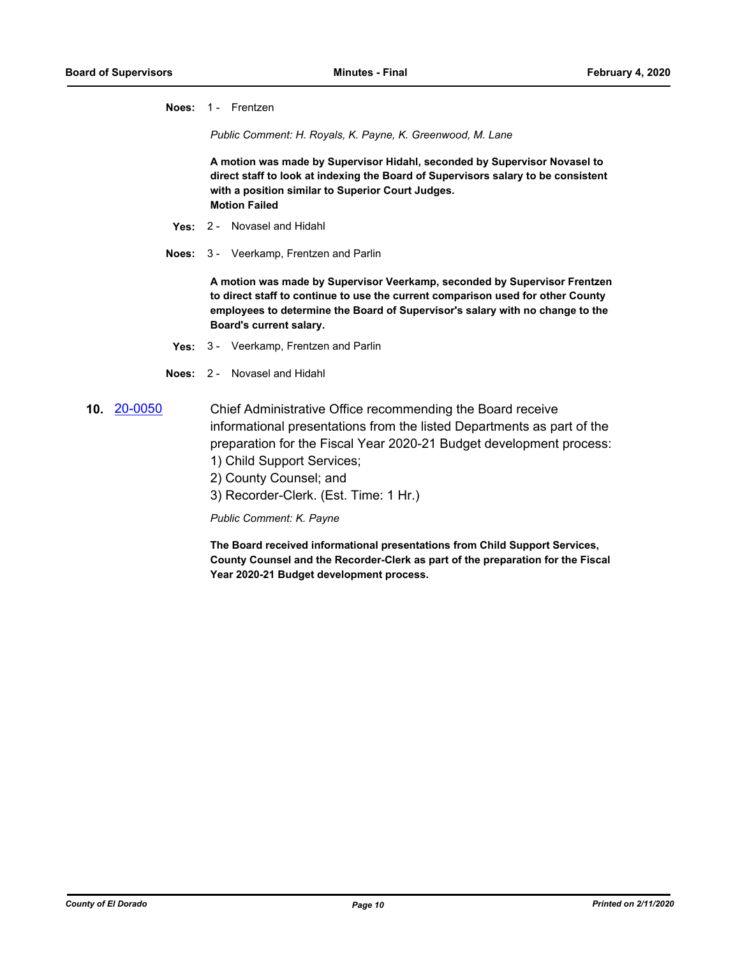**Noes:** 1 - Frentzen

*Public Comment: H. Royals, K. Payne, K. Greenwood, M. Lane*

**A motion was made by Supervisor Hidahl, seconded by Supervisor Novasel to direct staff to look at indexing the Board of Supervisors salary to be consistent with a position similar to Superior Court Judges. Motion Failed**

- **Yes:** 2 Novasel and Hidahl
- **Noes:** 3 Veerkamp, Frentzen and Parlin

**A motion was made by Supervisor Veerkamp, seconded by Supervisor Frentzen to direct staff to continue to use the current comparison used for other County employees to determine the Board of Supervisor's salary with no change to the Board's current salary.**

- **Yes:** 3 Veerkamp, Frentzen and Parlin
- **Noes:** 2 Novasel and Hidahl
- **10.** [20-0050](http://eldorado.legistar.com/gateway.aspx?m=l&id=/matter.aspx?key=27255) Chief Administrative Office recommending the Board receive informational presentations from the listed Departments as part of the preparation for the Fiscal Year 2020-21 Budget development process:
	- 1) Child Support Services;
	- 2) County Counsel; and
	- 3) Recorder-Clerk. (Est. Time: 1 Hr.)

#### *Public Comment: K. Payne*

**The Board received informational presentations from Child Support Services, County Counsel and the Recorder-Clerk as part of the preparation for the Fiscal Year 2020-21 Budget development process.**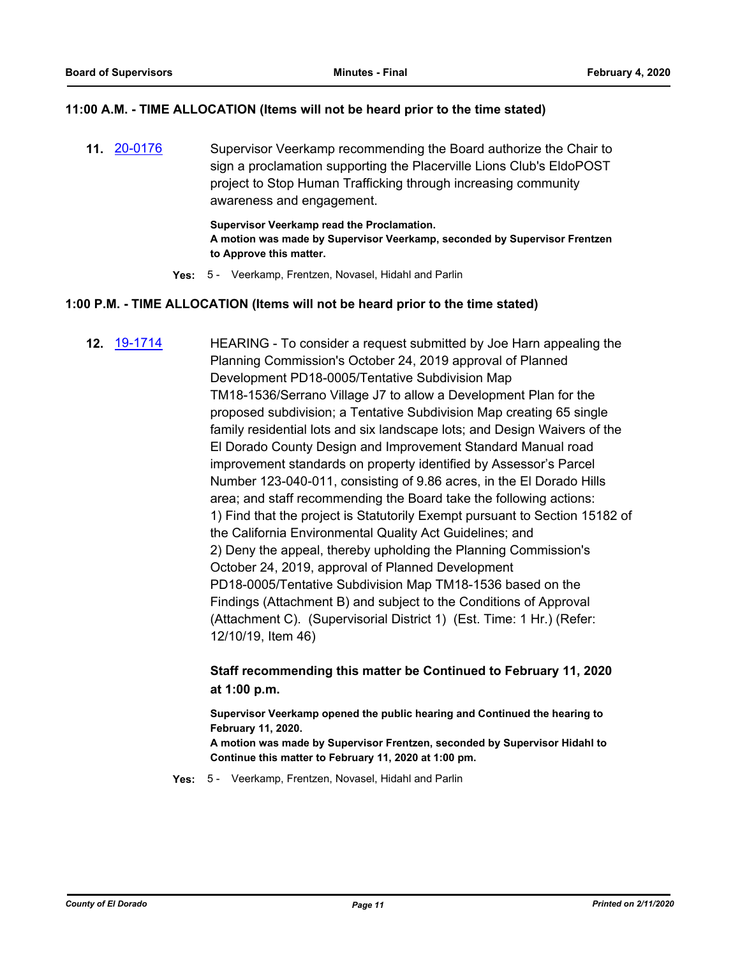## **11:00 A.M. - TIME ALLOCATION (Items will not be heard prior to the time stated)**

**11.** [20-0176](http://eldorado.legistar.com/gateway.aspx?m=l&id=/matter.aspx?key=27381) Supervisor Veerkamp recommending the Board authorize the Chair to sign a proclamation supporting the Placerville Lions Club's EldoPOST project to Stop Human Trafficking through increasing community awareness and engagement.

> **Supervisor Veerkamp read the Proclamation. A motion was made by Supervisor Veerkamp, seconded by Supervisor Frentzen to Approve this matter.**

**Yes:** 5 - Veerkamp, Frentzen, Novasel, Hidahl and Parlin

## **1:00 P.M. - TIME ALLOCATION (Items will not be heard prior to the time stated)**

**12.** [19-1714](http://eldorado.legistar.com/gateway.aspx?m=l&id=/matter.aspx?key=27038) HEARING - To consider a request submitted by Joe Harn appealing the Planning Commission's October 24, 2019 approval of Planned Development PD18-0005/Tentative Subdivision Map TM18-1536/Serrano Village J7 to allow a Development Plan for the proposed subdivision; a Tentative Subdivision Map creating 65 single family residential lots and six landscape lots; and Design Waivers of the El Dorado County Design and Improvement Standard Manual road improvement standards on property identified by Assessor's Parcel Number 123-040-011, consisting of 9.86 acres, in the El Dorado Hills area; and staff recommending the Board take the following actions: 1) Find that the project is Statutorily Exempt pursuant to Section 15182 of the California Environmental Quality Act Guidelines; and 2) Deny the appeal, thereby upholding the Planning Commission's October 24, 2019, approval of Planned Development PD18-0005/Tentative Subdivision Map TM18-1536 based on the Findings (Attachment B) and subject to the Conditions of Approval (Attachment C). (Supervisorial District 1) (Est. Time: 1 Hr.) (Refer: 12/10/19, Item 46)

## **Staff recommending this matter be Continued to February 11, 2020 at 1:00 p.m.**

**Supervisor Veerkamp opened the public hearing and Continued the hearing to February 11, 2020.**

**A motion was made by Supervisor Frentzen, seconded by Supervisor Hidahl to Continue this matter to February 11, 2020 at 1:00 pm.**

**Yes:** 5 - Veerkamp, Frentzen, Novasel, Hidahl and Parlin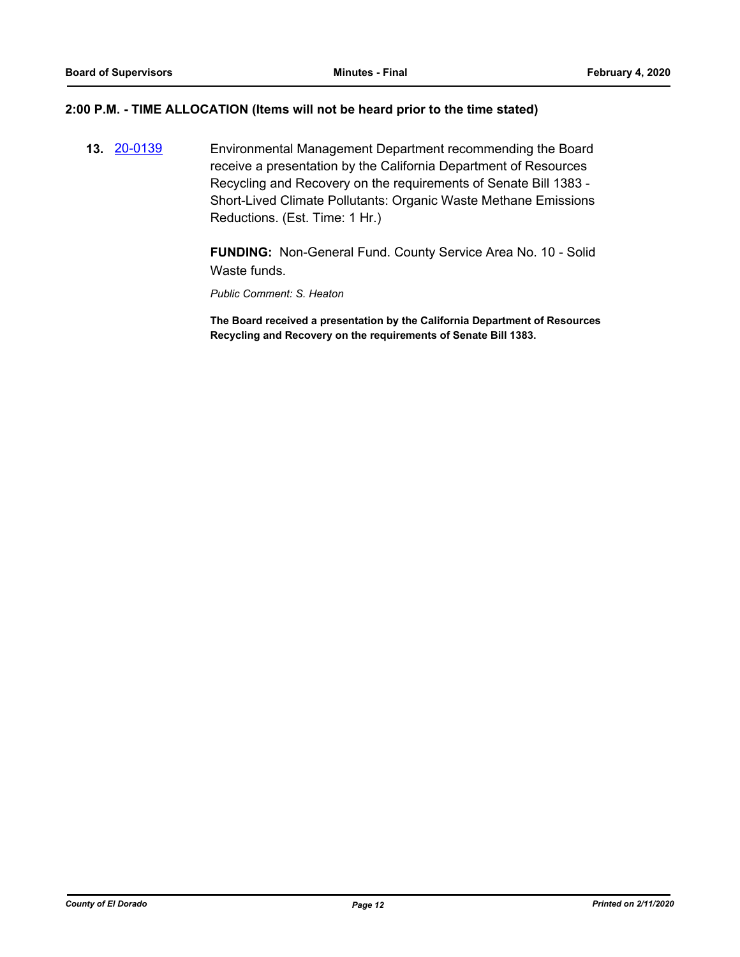## **2:00 P.M. - TIME ALLOCATION (Items will not be heard prior to the time stated)**

**13.** [20-0139](http://eldorado.legistar.com/gateway.aspx?m=l&id=/matter.aspx?key=27344) Environmental Management Department recommending the Board receive a presentation by the California Department of Resources Recycling and Recovery on the requirements of Senate Bill 1383 - Short-Lived Climate Pollutants: Organic Waste Methane Emissions Reductions. (Est. Time: 1 Hr.)

> **FUNDING:** Non-General Fund. County Service Area No. 10 - Solid Waste funds.

*Public Comment: S. Heaton*

**The Board received a presentation by the California Department of Resources Recycling and Recovery on the requirements of Senate Bill 1383.**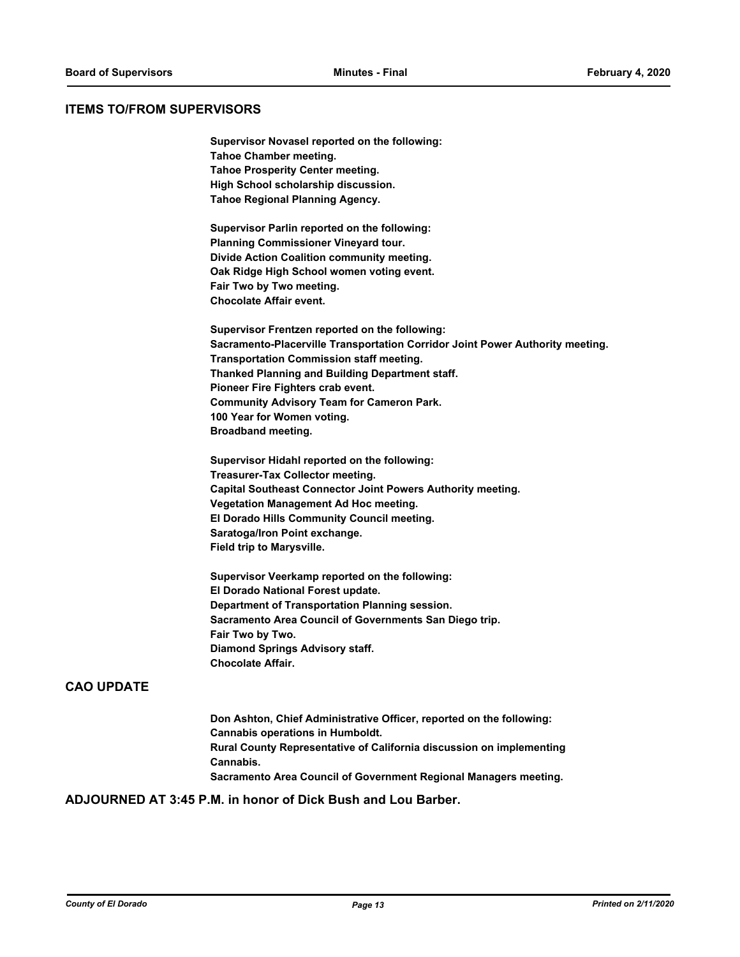## **ITEMS TO/FROM SUPERVISORS**

| Supervisor Novasel reported on the following:                                 |
|-------------------------------------------------------------------------------|
| <b>Tahoe Chamber meeting.</b>                                                 |
| <b>Tahoe Prosperity Center meeting.</b>                                       |
| High School scholarship discussion.                                           |
| Tahoe Regional Planning Agency.                                               |
| Supervisor Parlin reported on the following:                                  |
| <b>Planning Commissioner Vineyard tour.</b>                                   |
| Divide Action Coalition community meeting.                                    |
| Oak Ridge High School women voting event.                                     |
| Fair Two by Two meeting.                                                      |
| <b>Chocolate Affair event.</b>                                                |
| Supervisor Frentzen reported on the following:                                |
| Sacramento-Placerville Transportation Corridor Joint Power Authority meeting. |
| <b>Transportation Commission staff meeting.</b>                               |
| Thanked Planning and Building Department staff.                               |
| Pioneer Fire Fighters crab event.                                             |
| <b>Community Advisory Team for Cameron Park.</b>                              |
| 100 Year for Women voting.                                                    |
| <b>Broadband meeting.</b>                                                     |
| Supervisor Hidahl reported on the following:                                  |
| <b>Treasurer-Tax Collector meeting.</b>                                       |
| Capital Southeast Connector Joint Powers Authority meeting.                   |
| <b>Vegetation Management Ad Hoc meeting.</b>                                  |
| El Dorado Hills Community Council meeting.                                    |
| Saratoga/Iron Point exchange.                                                 |
| Field trip to Marysville.                                                     |
| Supervisor Veerkamp reported on the following:                                |

**El Dorado National Forest update. Department of Transportation Planning session. Sacramento Area Council of Governments San Diego trip. Fair Two by Two. Diamond Springs Advisory staff. Chocolate Affair.**

## **CAO UPDATE**

**Don Ashton, Chief Administrative Officer, reported on the following: Cannabis operations in Humboldt. Rural County Representative of California discussion on implementing Cannabis. Sacramento Area Council of Government Regional Managers meeting.**

## **ADJOURNED AT 3:45 P.M. in honor of Dick Bush and Lou Barber.**